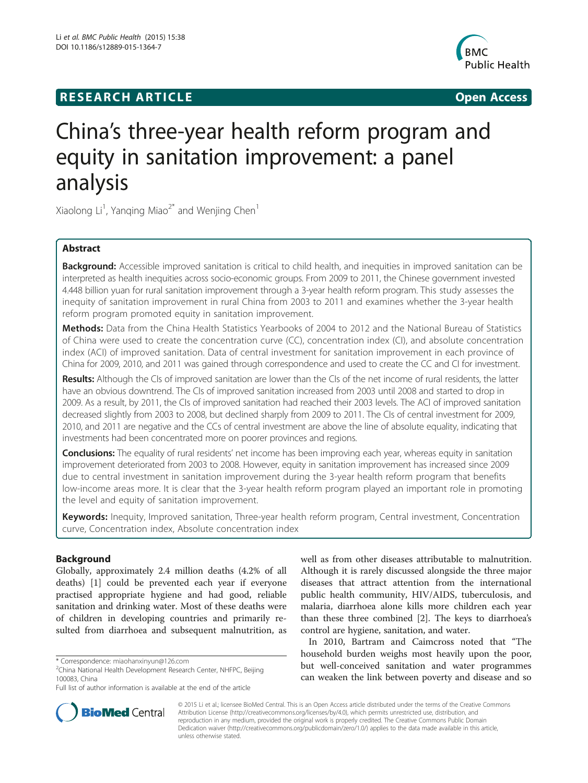## **RESEARCH ARTICLE Example 2014 12:30 The SEAR CHA R TIGGS**



# China's three-year health reform program and equity in sanitation improvement: a panel analysis

Xiaolong Li<sup>1</sup>, Yanqing Miao<sup>2\*</sup> and Wenjing Chen<sup>1</sup>

## Abstract

Background: Accessible improved sanitation is critical to child health, and inequities in improved sanitation can be interpreted as health inequities across socio-economic groups. From 2009 to 2011, the Chinese government invested 4.448 billion yuan for rural sanitation improvement through a 3-year health reform program. This study assesses the inequity of sanitation improvement in rural China from 2003 to 2011 and examines whether the 3-year health reform program promoted equity in sanitation improvement.

Methods: Data from the China Health Statistics Yearbooks of 2004 to 2012 and the National Bureau of Statistics of China were used to create the concentration curve (CC), concentration index (CI), and absolute concentration index (ACI) of improved sanitation. Data of central investment for sanitation improvement in each province of China for 2009, 2010, and 2011 was gained through correspondence and used to create the CC and CI for investment.

Results: Although the CIs of improved sanitation are lower than the CIs of the net income of rural residents, the latter have an obvious downtrend. The CIs of improved sanitation increased from 2003 until 2008 and started to drop in 2009. As a result, by 2011, the CIs of improved sanitation had reached their 2003 levels. The ACI of improved sanitation decreased slightly from 2003 to 2008, but declined sharply from 2009 to 2011. The CIs of central investment for 2009, 2010, and 2011 are negative and the CCs of central investment are above the line of absolute equality, indicating that investments had been concentrated more on poorer provinces and regions.

Conclusions: The equality of rural residents' net income has been improving each year, whereas equity in sanitation improvement deteriorated from 2003 to 2008. However, equity in sanitation improvement has increased since 2009 due to central investment in sanitation improvement during the 3-year health reform program that benefits low-income areas more. It is clear that the 3-year health reform program played an important role in promoting the level and equity of sanitation improvement.

Keywords: Inequity, Improved sanitation, Three-year health reform program, Central investment, Concentration curve, Concentration index, Absolute concentration index

## Background

Globally, approximately 2.4 million deaths (4.2% of all deaths) [[1\]](#page-6-0) could be prevented each year if everyone practised appropriate hygiene and had good, reliable sanitation and drinking water. Most of these deaths were of children in developing countries and primarily resulted from diarrhoea and subsequent malnutrition, as



In 2010, Bartram and Caimcross noted that "The household burden weighs most heavily upon the poor, but well-conceived sanitation and water programmes can weaken the link between poverty and disease and so



© 2015 Li et al.; licensee BioMed Central. This is an Open Access article distributed under the terms of the Creative Commons Attribution License (<http://creativecommons.org/licenses/by/4.0>), which permits unrestricted use, distribution, and reproduction in any medium, provided the original work is properly credited. The Creative Commons Public Domain Dedication waiver [\(http://creativecommons.org/publicdomain/zero/1.0/](http://creativecommons.org/publicdomain/zero/1.0/)) applies to the data made available in this article, unless otherwise stated.

<sup>\*</sup> Correspondence: [miaohanxinyun@126.com](mailto:miaohanxinyun@126.com) <sup>2</sup>

<sup>&</sup>lt;sup>2</sup>China National Health Development Research Center, NHFPC, Beijing 100083, China

Full list of author information is available at the end of the article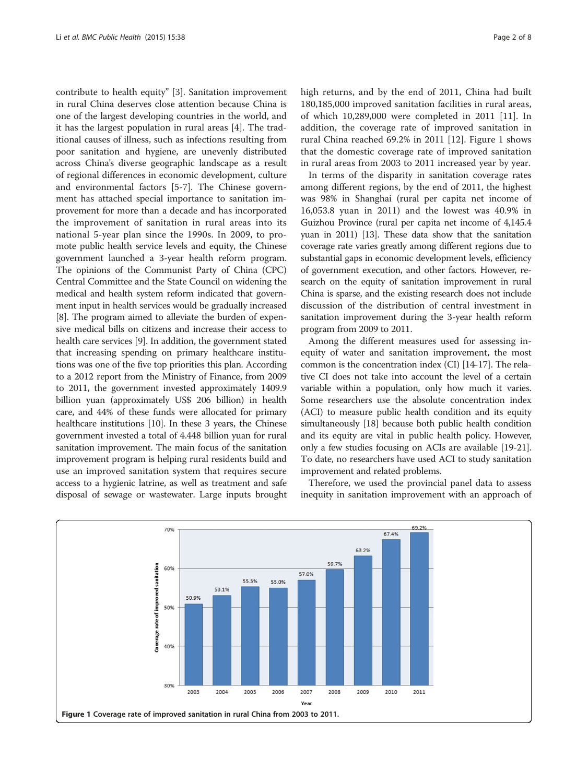contribute to health equity" [[3\]](#page-6-0). Sanitation improvement in rural China deserves close attention because China is one of the largest developing countries in the world, and it has the largest population in rural areas [[4](#page-6-0)]. The traditional causes of illness, such as infections resulting from poor sanitation and hygiene, are unevenly distributed across China's diverse geographic landscape as a result of regional differences in economic development, culture and environmental factors [[5-7](#page-6-0)]. The Chinese government has attached special importance to sanitation improvement for more than a decade and has incorporated the improvement of sanitation in rural areas into its national 5-year plan since the 1990s. In 2009, to promote public health service levels and equity, the Chinese government launched a 3-year health reform program. The opinions of the Communist Party of China (CPC) Central Committee and the State Council on widening the medical and health system reform indicated that government input in health services would be gradually increased [[8\]](#page-6-0). The program aimed to alleviate the burden of expensive medical bills on citizens and increase their access to health care services [[9\]](#page-6-0). In addition, the government stated that increasing spending on primary healthcare institutions was one of the five top priorities this plan. According to a 2012 report from the Ministry of Finance, from 2009 to 2011, the government invested approximately 1409.9 billion yuan (approximately US\$ 206 billion) in health care, and 44% of these funds were allocated for primary healthcare institutions [\[10\]](#page-6-0). In these 3 years, the Chinese government invested a total of 4.448 billion yuan for rural sanitation improvement. The main focus of the sanitation improvement program is helping rural residents build and use an improved sanitation system that requires secure access to a hygienic latrine, as well as treatment and safe disposal of sewage or wastewater. Large inputs brought high returns, and by the end of 2011, China had built 180,185,000 improved sanitation facilities in rural areas, of which 10,289,000 were completed in 2011 [[11\]](#page-6-0). In addition, the coverage rate of improved sanitation in rural China reached 69.2% in 2011 [[12\]](#page-6-0). Figure 1 shows that the domestic coverage rate of improved sanitation in rural areas from 2003 to 2011 increased year by year.

In terms of the disparity in sanitation coverage rates among different regions, by the end of 2011, the highest was 98% in Shanghai (rural per capita net income of 16,053.8 yuan in 2011) and the lowest was 40.9% in Guizhou Province (rural per capita net income of 4,145.4 yuan in 2011) [[13](#page-7-0)]. These data show that the sanitation coverage rate varies greatly among different regions due to substantial gaps in economic development levels, efficiency of government execution, and other factors. However, research on the equity of sanitation improvement in rural China is sparse, and the existing research does not include discussion of the distribution of central investment in sanitation improvement during the 3-year health reform program from 2009 to 2011.

Among the different measures used for assessing inequity of water and sanitation improvement, the most common is the concentration index (CI) [\[14-17](#page-7-0)]. The relative CI does not take into account the level of a certain variable within a population, only how much it varies. Some researchers use the absolute concentration index (ACI) to measure public health condition and its equity simultaneously [\[18\]](#page-7-0) because both public health condition and its equity are vital in public health policy. However, only a few studies focusing on ACIs are available [[19](#page-7-0)-[21](#page-7-0)]. To date, no researchers have used ACI to study sanitation improvement and related problems.

Therefore, we used the provincial panel data to assess inequity in sanitation improvement with an approach of

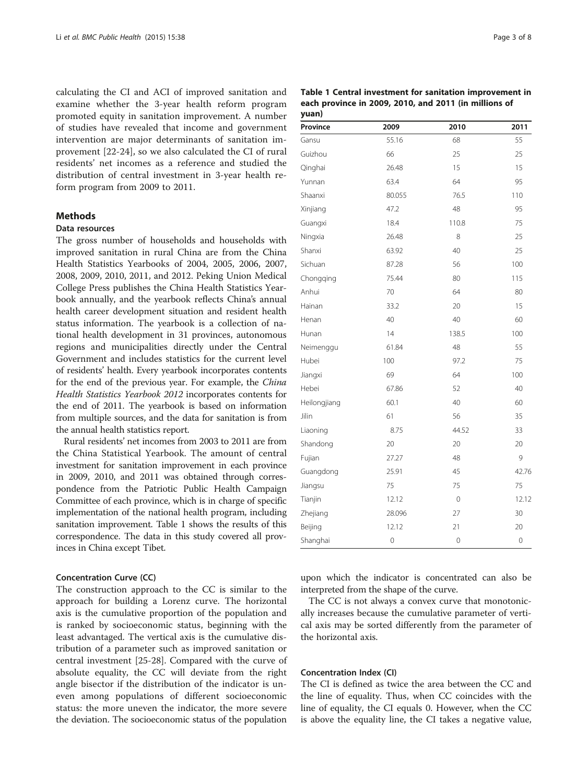calculating the CI and ACI of improved sanitation and examine whether the 3-year health reform program promoted equity in sanitation improvement. A number of studies have revealed that income and government intervention are major determinants of sanitation improvement [[22-24](#page-7-0)], so we also calculated the CI of rural residents' net incomes as a reference and studied the distribution of central investment in 3-year health reform program from 2009 to 2011.

#### Methods

#### Data resources

The gross number of households and households with improved sanitation in rural China are from the China Health Statistics Yearbooks of 2004, 2005, 2006, 2007, 2008, 2009, 2010, 2011, and 2012. Peking Union Medical College Press publishes the China Health Statistics Yearbook annually, and the yearbook reflects China's annual health career development situation and resident health status information. The yearbook is a collection of national health development in 31 provinces, autonomous regions and municipalities directly under the Central Government and includes statistics for the current level of residents' health. Every yearbook incorporates contents for the end of the previous year. For example, the China Health Statistics Yearbook 2012 incorporates contents for the end of 2011. The yearbook is based on information from multiple sources, and the data for sanitation is from the annual health statistics report.

Rural residents' net incomes from 2003 to 2011 are from the China Statistical Yearbook. The amount of central investment for sanitation improvement in each province in 2009, 2010, and 2011 was obtained through correspondence from the Patriotic Public Health Campaign Committee of each province, which is in charge of specific implementation of the national health program, including sanitation improvement. Table 1 shows the results of this correspondence. The data in this study covered all provinces in China except Tibet.

## Concentration Curve (CC)

The construction approach to the CC is similar to the approach for building a Lorenz curve. The horizontal axis is the cumulative proportion of the population and is ranked by socioeconomic status, beginning with the least advantaged. The vertical axis is the cumulative distribution of a parameter such as improved sanitation or central investment [[25-28](#page-7-0)]. Compared with the curve of absolute equality, the CC will deviate from the right angle bisector if the distribution of the indicator is uneven among populations of different socioeconomic status: the more uneven the indicator, the more severe the deviation. The socioeconomic status of the population

| Province     | 2009           | 2010        | 2011           |
|--------------|----------------|-------------|----------------|
| Gansu        | 55.16          | 68          | 55             |
| Guizhou      | 66             | 25          | 25             |
| Qinghai      | 26.48          | 15          | 15             |
| Yunnan       | 63.4           | 64          | 95             |
| Shaanxi      | 80.055         | 76.5        | 110            |
| Xinjiang     | 47.2           | 48          | 95             |
| Guangxi      | 18.4           | 110.8       | 75             |
| Ningxia      | 26.48          | 8           | 25             |
| Shanxi       | 63.92          | 40          | 25             |
| Sichuan      | 87.28          | 56          | 100            |
| Chongqing    | 75.44          | 80          | 115            |
| Anhui        | 70             | 64          | 80             |
| Hainan       | 33.2           | 20          | 15             |
| Henan        | 40             | 40          | 60             |
| Hunan        | 14             | 138.5       | 100            |
| Neimenggu    | 61.84          | 48          | 55             |
| Hubei        | 100            | 97.2        | 75             |
| Jiangxi      | 69             | 64          | 100            |
| Hebei        | 67.86          | 52          | 40             |
| Heilongjiang | 60.1           | 40          | 60             |
| Jilin        | 61             | 56          | 35             |
| Liaoning     | 8.75           | 44.52       | 33             |
| Shandong     | 20             | 20          | 20             |
| Fujian       | 27.27          | 48          | 9              |
| Guangdong    | 25.91          | 45          | 42.76          |
| Jiangsu      | 75             | 75          | 75             |
| Tianjin      | 12.12          | $\mathbf 0$ | 12.12          |
| Zhejiang     | 28.096         | 27          | 30             |
| Beijing      | 12.12          | 21          | 20             |
| Shanghai     | $\overline{O}$ | 0           | $\overline{O}$ |

Table 1 Central investment for sanitation improvement in each province in 2009, 2010, and 2011 (in millions of yuan)

upon which the indicator is concentrated can also be interpreted from the shape of the curve.

The CC is not always a convex curve that monotonically increases because the cumulative parameter of vertical axis may be sorted differently from the parameter of the horizontal axis.

#### Concentration Index (CI)

The CI is defined as twice the area between the CC and the line of equality. Thus, when CC coincides with the line of equality, the CI equals 0. However, when the CC is above the equality line, the CI takes a negative value,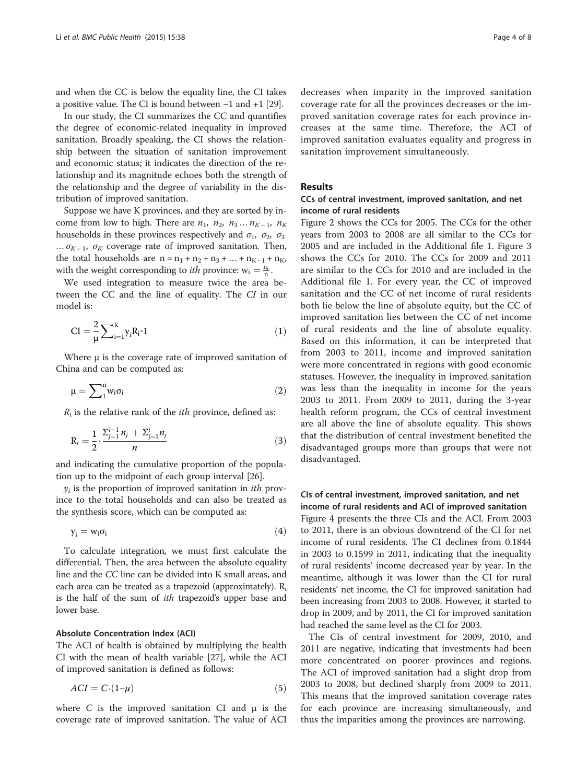and when the CC is below the equality line, the CI takes a positive value. The CI is bound between −1 and +1 [[29](#page-7-0)].

In our study, the CI summarizes the CC and quantifies the degree of economic-related inequality in improved sanitation. Broadly speaking, the CI shows the relationship between the situation of sanitation improvement and economic status; it indicates the direction of the relationship and its magnitude echoes both the strength of the relationship and the degree of variability in the distribution of improved sanitation.

Suppose we have K provinces, and they are sorted by income from low to high. There are  $n_1$ ,  $n_2$ ,  $n_3$  …  $n_{K-1}$ ,  $n_K$ households in these provinces respectively and  $\sigma_1$ ,  $\sigma_2$ ,  $\sigma_3$ ...  $\sigma_{K-1}$ ,  $\sigma_K$  coverage rate of improved sanitation. Then, the total households are  $n = n_1 + n_2 + n_3 + ... + n_{K-1} + n_K$ , with the weight corresponding to *ith* province:  $w_i = \frac{n_i}{n}$ .

We used integration to measure twice the area between the CC and the line of equality. The CI in our model is:

$$
CI = \frac{2}{\mu} \sum_{i=1}^{K} y_i R_i - 1 \tag{1}
$$

Where μ is the coverage rate of improved sanitation of China and can be computed as:

$$
\mu = \sum_{i=1}^{n} w_i \sigma_i \tag{2}
$$

 $R_i$  is the relative rank of the *ith* province, defined as:

$$
R_{i} = \frac{1}{2} \cdot \frac{\sum_{j=1}^{i-1} n_{j} + \sum_{j=1}^{i} n_{j}}{n}
$$
 (3)

and indicating the cumulative proportion of the population up to the midpoint of each group interval [\[26\]](#page-7-0).

 $y_i$  is the proportion of improved sanitation in *ith* province to the total households and can also be treated as the synthesis score, which can be computed as:

$$
y_i = w_i \sigma_i \tag{4}
$$

To calculate integration, we must first calculate the differential. Then, the area between the absolute equality line and the CC line can be divided into K small areas, and each area can be treated as a trapezoid (approximately).  $R_i$ is the half of the sum of ith trapezoid's upper base and lower base.

#### Absolute Concentration Index (ACI)

The ACI of health is obtained by multiplying the health CI with the mean of health variable [\[27](#page-7-0)], while the ACI of improved sanitation is defined as follows:

$$
ACI = C \cdot (1 - \mu) \tag{5}
$$

where C is the improved sanitation CI and  $\mu$  is the coverage rate of improved sanitation. The value of ACI decreases when imparity in the improved sanitation coverage rate for all the provinces decreases or the improved sanitation coverage rates for each province increases at the same time. Therefore, the ACI of improved sanitation evaluates equality and progress in sanitation improvement simultaneously.

#### Results

## CCs of central investment, improved sanitation, and net income of rural residents

Figure [2](#page-4-0) shows the CCs for 2005. The CCs for the other years from 2003 to 2008 are all similar to the CCs for 2005 and are included in the Additional file [1](#page-6-0). Figure [3](#page-4-0) shows the CCs for 2010. The CCs for 2009 and 2011 are similar to the CCs for 2010 and are included in the Additional file [1.](#page-6-0) For every year, the CC of improved sanitation and the CC of net income of rural residents both lie below the line of absolute equity, but the CC of improved sanitation lies between the CC of net income of rural residents and the line of absolute equality. Based on this information, it can be interpreted that from 2003 to 2011, income and improved sanitation were more concentrated in regions with good economic statuses. However, the inequality in improved sanitation was less than the inequality in income for the years 2003 to 2011. From 2009 to 2011, during the 3-year health reform program, the CCs of central investment are all above the line of absolute equality. This shows that the distribution of central investment benefited the disadvantaged groups more than groups that were not disadvantaged.

## CIs of central investment, improved sanitation, and net income of rural residents and ACI of improved sanitation Figure [4](#page-5-0) presents the three CIs and the ACI. From 2003

to 2011, there is an obvious downtrend of the CI for net income of rural residents. The CI declines from 0.1844 in 2003 to 0.1599 in 2011, indicating that the inequality of rural residents' income decreased year by year. In the meantime, although it was lower than the CI for rural residents' net income, the CI for improved sanitation had been increasing from 2003 to 2008. However, it started to drop in 2009, and by 2011, the CI for improved sanitation had reached the same level as the CI for 2003.

The CIs of central investment for 2009, 2010, and 2011 are negative, indicating that investments had been more concentrated on poorer provinces and regions. The ACI of improved sanitation had a slight drop from 2003 to 2008, but declined sharply from 2009 to 2011. This means that the improved sanitation coverage rates for each province are increasing simultaneously, and thus the imparities among the provinces are narrowing.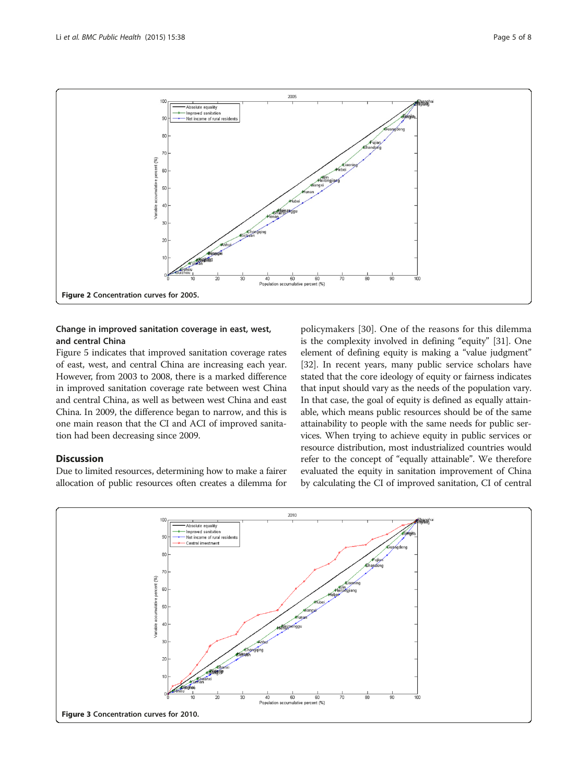<span id="page-4-0"></span>

## Change in improved sanitation coverage in east, west, and central China

Figure [5](#page-5-0) indicates that improved sanitation coverage rates of east, west, and central China are increasing each year. However, from 2003 to 2008, there is a marked difference in improved sanitation coverage rate between west China and central China, as well as between west China and east China. In 2009, the difference began to narrow, and this is one main reason that the CI and ACI of improved sanitation had been decreasing since 2009.

### **Discussion**

Due to limited resources, determining how to make a fairer allocation of public resources often creates a dilemma for

policymakers [[30\]](#page-7-0). One of the reasons for this dilemma is the complexity involved in defining "equity" [[31](#page-7-0)]. One element of defining equity is making a "value judgment" [[32](#page-7-0)]. In recent years, many public service scholars have stated that the core ideology of equity or fairness indicates that input should vary as the needs of the population vary. In that case, the goal of equity is defined as equally attainable, which means public resources should be of the same attainability to people with the same needs for public services. When trying to achieve equity in public services or resource distribution, most industrialized countries would refer to the concept of "equally attainable". We therefore evaluated the equity in sanitation improvement of China by calculating the CI of improved sanitation, CI of central

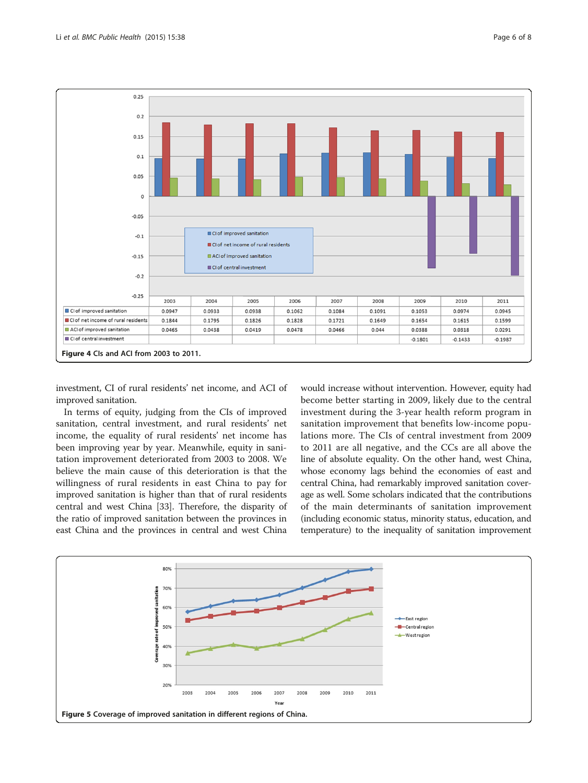<span id="page-5-0"></span>

investment, CI of rural residents' net income, and ACI of improved sanitation.

In terms of equity, judging from the CIs of improved sanitation, central investment, and rural residents' net income, the equality of rural residents' net income has been improving year by year. Meanwhile, equity in sanitation improvement deteriorated from 2003 to 2008. We believe the main cause of this deterioration is that the willingness of rural residents in east China to pay for improved sanitation is higher than that of rural residents central and west China [[33](#page-7-0)]. Therefore, the disparity of the ratio of improved sanitation between the provinces in east China and the provinces in central and west China would increase without intervention. However, equity had become better starting in 2009, likely due to the central investment during the 3-year health reform program in sanitation improvement that benefits low-income populations more. The CIs of central investment from 2009 to 2011 are all negative, and the CCs are all above the line of absolute equality. On the other hand, west China, whose economy lags behind the economies of east and central China, had remarkably improved sanitation coverage as well. Some scholars indicated that the contributions of the main determinants of sanitation improvement (including economic status, minority status, education, and temperature) to the inequality of sanitation improvement

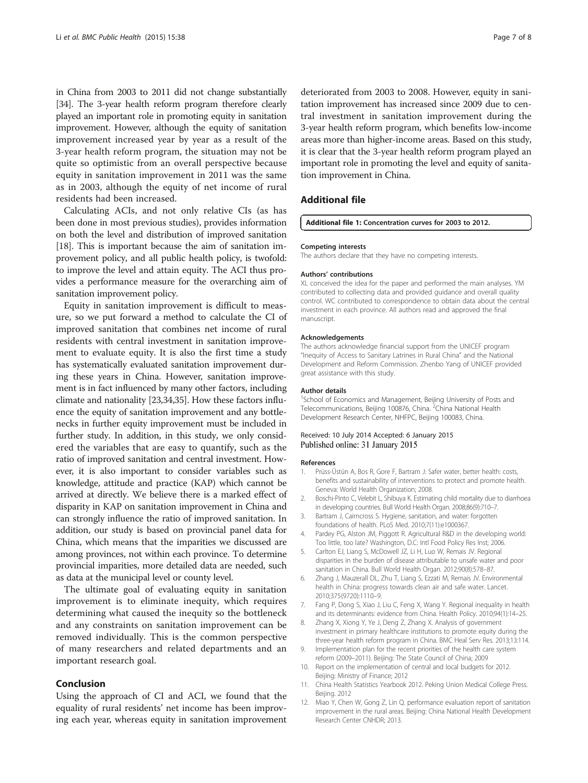<span id="page-6-0"></span>in China from 2003 to 2011 did not change substantially [[34](#page-7-0)]. The 3-year health reform program therefore clearly played an important role in promoting equity in sanitation improvement. However, although the equity of sanitation improvement increased year by year as a result of the 3-year health reform program, the situation may not be quite so optimistic from an overall perspective because equity in sanitation improvement in 2011 was the same as in 2003, although the equity of net income of rural residents had been increased.

Calculating ACIs, and not only relative CIs (as has been done in most previous studies), provides information on both the level and distribution of improved sanitation [[18](#page-7-0)]. This is important because the aim of sanitation improvement policy, and all public health policy, is twofold: to improve the level and attain equity. The ACI thus provides a performance measure for the overarching aim of sanitation improvement policy.

Equity in sanitation improvement is difficult to measure, so we put forward a method to calculate the CI of improved sanitation that combines net income of rural residents with central investment in sanitation improvement to evaluate equity. It is also the first time a study has systematically evaluated sanitation improvement during these years in China. However, sanitation improvement is in fact influenced by many other factors, including climate and nationality [[23,34,35](#page-7-0)]. How these factors influence the equity of sanitation improvement and any bottlenecks in further equity improvement must be included in further study. In addition, in this study, we only considered the variables that are easy to quantify, such as the ratio of improved sanitation and central investment. However, it is also important to consider variables such as knowledge, attitude and practice (KAP) which cannot be arrived at directly. We believe there is a marked effect of disparity in KAP on sanitation improvement in China and can strongly influence the ratio of improved sanitation. In addition, our study is based on provincial panel data for China, which means that the imparities we discussed are among provinces, not within each province. To determine provincial imparities, more detailed data are needed, such as data at the municipal level or county level.

The ultimate goal of evaluating equity in sanitation improvement is to eliminate inequity, which requires determining what caused the inequity so the bottleneck and any constraints on sanitation improvement can be removed individually. This is the common perspective of many researchers and related departments and an important research goal.

### Conclusion

Using the approach of CI and ACI, we found that the equality of rural residents' net income has been improving each year, whereas equity in sanitation improvement deteriorated from 2003 to 2008. However, equity in sanitation improvement has increased since 2009 due to central investment in sanitation improvement during the 3-year health reform program, which benefits low-income areas more than higher-income areas. Based on this study, it is clear that the 3-year health reform program played an important role in promoting the level and equity of sanitation improvement in China.

## Additional file

#### [Additional file 1:](http://www.biomedcentral.com/content/supplementary/s12889-015-1364-7-s1.zip) Concentration curves for 2003 to 2012.

#### Competing interests

The authors declare that they have no competing interests.

#### Authors' contributions

XL conceived the idea for the paper and performed the main analyses. YM contributed to collecting data and provided guidance and overall quality control. WC contributed to correspondence to obtain data about the central investment in each province. All authors read and approved the final manuscript.

#### Acknowledgements

The authors acknowledge financial support from the UNICEF program "Inequity of Access to Sanitary Latrines in Rural China" and the National Development and Reform Commission. Zhenbo Yang of UNICEF provided great assistance with this study.

#### Author details

<sup>1</sup>School of Economics and Management, Beijing University of Posts and Telecommunications, Beijing 100876, China. <sup>2</sup>China National Health Development Research Center, NHFPC, Beijing 100083, China.

#### Received: 10 July 2014 Accepted: 6 January 2015 Published online: 31 January 2015

#### References

- 1. Prüss-Üstün A, Bos R, Gore F, Bartram J: Safer water, better health: costs, benefits and sustainability of interventions to protect and promote health. Geneva: World Health Organization; 2008.
- 2. Boschi-Pinto C, Velebit L, Shibuya K. Estimating child mortality due to diarrhoea in developing countries. Bull World Health Organ. 2008;86(9):710–7.
- 3. Bartram J, Cairncross S. Hygiene, sanitation, and water: forgotten foundations of health. PLoS Med. 2010;7(11):e1000367.
- 4. Pardey PG, Alston JM, Piggott R. Agricultural R&D in the developing world: Too little, too late? Washington, D.C: Intl Food Policy Res Inst; 2006.
- 5. Carlton EJ, Liang S, McDowell JZ, Li H, Luo W, Remais JV. Regional disparities in the burden of disease attributable to unsafe water and poor sanitation in China. Bull World Health Organ. 2012;90(8):578–87.
- Zhang J, Mauzerall DL, Zhu T, Liang S, Ezzati M, Remais JV. Environmental health in China: progress towards clean air and safe water. Lancet. 2010;375(9720):1110–9.
- 7. Fang P, Dong S, Xiao J, Liu C, Feng X, Wang Y. Regional inequality in health and its determinants: evidence from China. Health Policy. 2010;94(1):14–25.
- 8. Zhang X, Xiong Y, Ye J, Deng Z, Zhang X. Analysis of government investment in primary healthcare institutions to promote equity during the three-year health reform program in China. BMC Heal Serv Res. 2013;13:114.
- 9. Implementation plan for the recent priorities of the health care system reform (2009–2011). Beijing: The State Council of China; 2009
- 10. Report on the implementation of central and local budgets for 2012. Beijing: Ministry of Finance; 2012
- 11. China Health Statistics Yearbook 2012. Peking Union Medical College Press. Beijing. 2012
- 12. Miao Y, Chen W, Gong Z, Lin Q. performance evaluation report of sanitation improvement in the rural areas. Beijing: China National Health Development Research Center CNHDR; 2013.